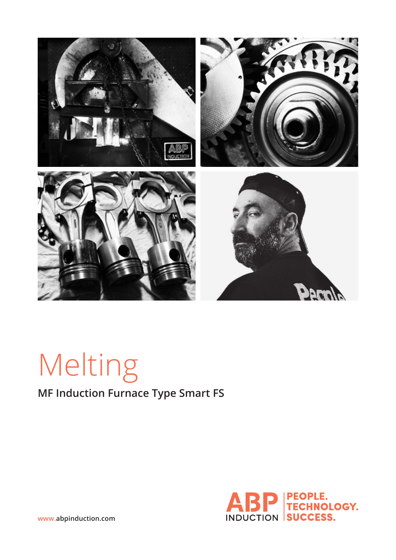

# Melting

## **MF Induction Furnace Type Smart FS**



**www.abpinduction.com**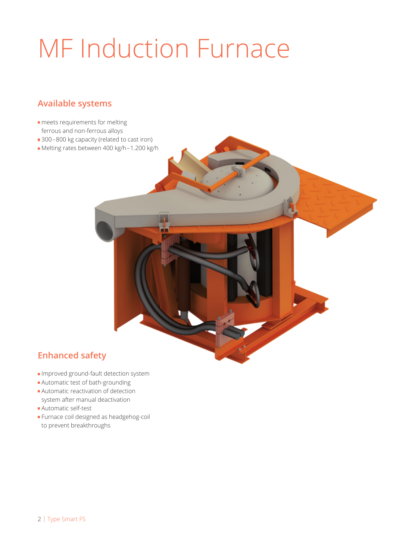## MF Induction Furnace

## **Available systems**

- **meets requirements for melting** ferrous and non-ferrous alloys
- 300–800 kg capacity (related to cast iron)
- Melting rates between 400 kg/h–1.200 kg/h

## **Enhanced safety**

- Improved ground-fault detection system
- Automatic test of bath-grounding
- Automatic reactivation of detection system after manual deactivation
- Automatic self-test
- Furnace coil designed as headgehog-coil to prevent breakthroughs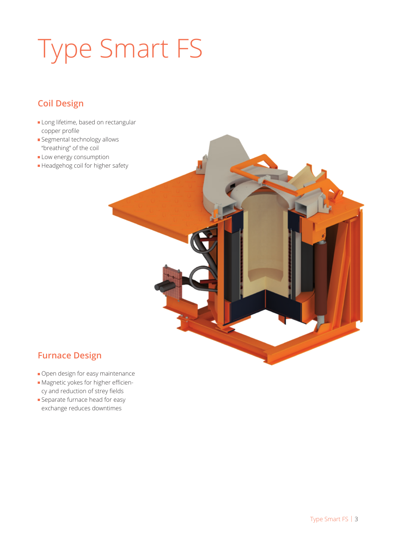## Type Smart FS

## **Coil Design**

- Long lifetime, based on rectangular copper profile
- **Segmental technology allows** "breathing" of the coil
- **Low energy consumption**
- Headgehog coil for higher safety

## **Furnace Design**

- Open design for easy maintenance
- Magnetic yokes for higher efficiency and reduction of strey fields
- **Separate furnace head for easy** exchange reduces downtimes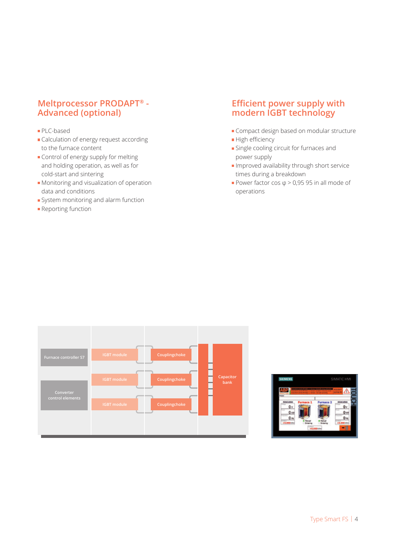### **Meltprocessor PRODAPT® - Advanced (optional)**

### PLC-based

- Calculation of energy request according to the furnace content
- Control of energy supply for melting and holding operation, as well as for cold-start and sintering
- **Monitoring and visualization of operation** data and conditions
- System monitoring and alarm function
- **Reporting function**

### **Efficient power supply with modern IGBT technology**

- Compact design based on modular structure
- High efficiency
- Single cooling circuit for furnaces and power supply
- Improved availability through short service times during a breakdown
- Power factor cos  $\varphi > 0.95$  95 in all mode of operations



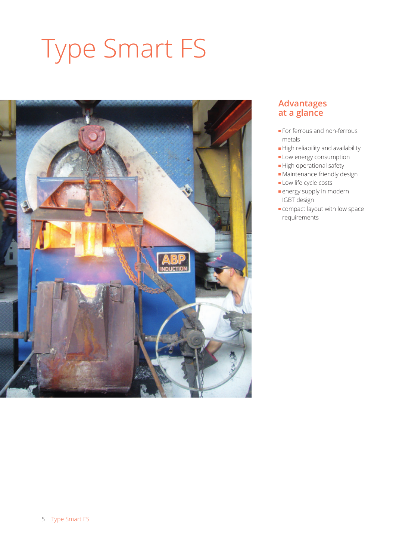## Type Smart FS



### **Advantages at a glance**

- **For ferrous and non-ferrous** metals
- High reliability and availability
- **Low energy consumption**
- $\blacksquare$  High operational safety
- Maintenance friendly design
- Low life cycle costs
- **energy supply in modern** IGBT design
- **Compact layout with low space** requirements